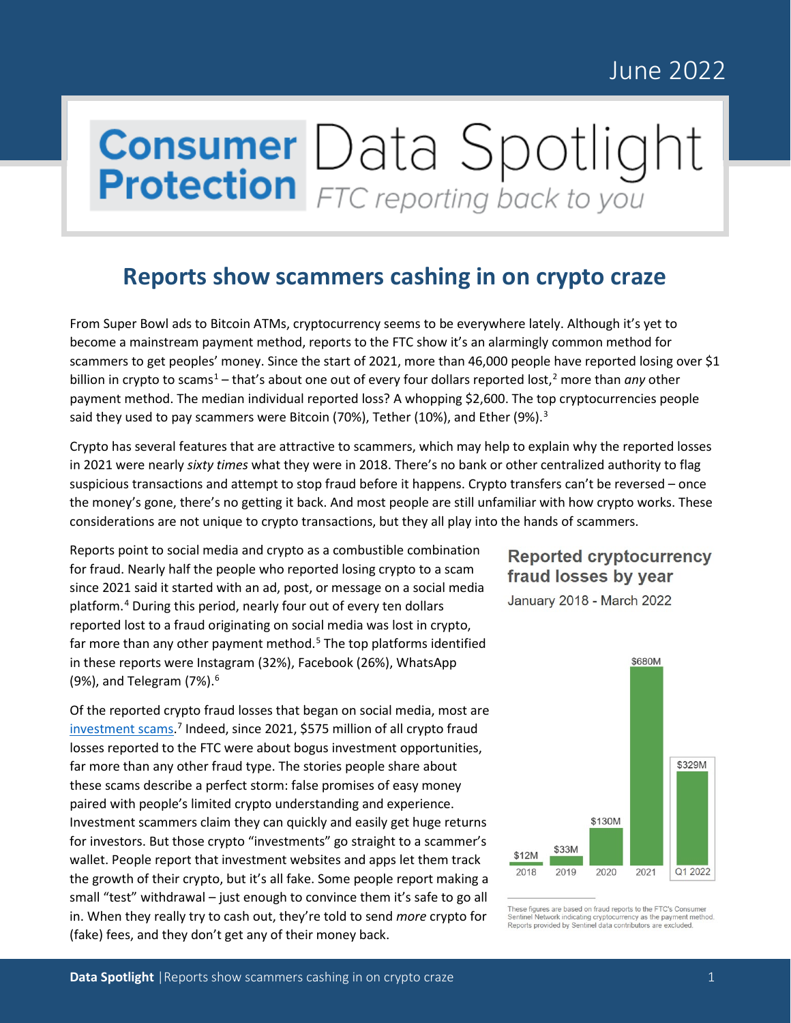### June 2022

# **Consumer** Data Spotlight

#### **Reports show scammers cashing in on crypto craze**

From Super Bowl ads to Bitcoin ATMs, cryptocurrency seems to be everywhere lately. Although it's yet to become a mainstream payment method, reports to the FTC show it's an alarmingly common method for scammers to get peoples' money. Since the start of 2021, more than 46,000 people have reported losing over \$1 billion in crypto to scams<sup>[1](#page-2-0)</sup> – that's about one out of every four dollars reported lost,<sup>[2](#page-2-1)</sup> more than *any* other payment method. The median individual reported loss? A whopping \$2,600. The top cryptocurrencies people said they used to pay scammers were Bitcoin (70%), Tether (10%), and Ether (9%).<sup>[3](#page-2-2)</sup>

Crypto has several features that are attractive to scammers, which may help to explain why the reported losses in 2021 were nearly *sixty times* what they were in 2018. There's no bank or other centralized authority to flag suspicious transactions and attempt to stop fraud before it happens. Crypto transfers can't be reversed – once the money's gone, there's no getting it back. And most people are still unfamiliar with how crypto works. These considerations are not unique to crypto transactions, but they all play into the hands of scammers.

Reports point to social media and crypto as a combustible combination for fraud. Nearly half the people who reported losing crypto to a scam since 2021 said it started with an ad, post, or message on a social media platform. [4](#page-2-3) During this period, nearly four out of every ten dollars reported lost to a fraud originating on social media was lost in crypto, far more than any other payment method.<sup>[5](#page-2-4)</sup> The top platforms identified in these reports were Instagram (32%), Facebook (26%), WhatsApp (9%), and Telegram (7%). [6](#page-2-5)

Of the reported crypto fraud losses that began on social media, most are [investment scams.](https://consumer.ftc.gov/jobs-and-making-money/money-making-opportunities-and-investments)<sup>[7](#page-2-6)</sup> Indeed, since 2021, \$575 million of all crypto fraud losses reported to the FTC were about bogus investment opportunities, far more than any other fraud type. The stories people share about these scams describe a perfect storm: false promises of easy money paired with people's limited crypto understanding and experience. Investment scammers claim they can quickly and easily get huge returns for investors. But those crypto "investments" go straight to a scammer's wallet. People report that investment websites and apps let them track the growth of their crypto, but it's all fake. Some people report making a small "test" withdrawal – just enough to convince them it's safe to go all in. When they really try to cash out, they're told to send *more* crypto for (fake) fees, and they don't get any of their money back.

#### **Reported cryptocurrency** fraud losses by year

January 2018 - March 2022



These figures are based on fraud reports to the FTC's Consumer Sentinel Network indicating cryptocurrency as the payment n<br>Reports provided by Sentinel data contributors are excluded.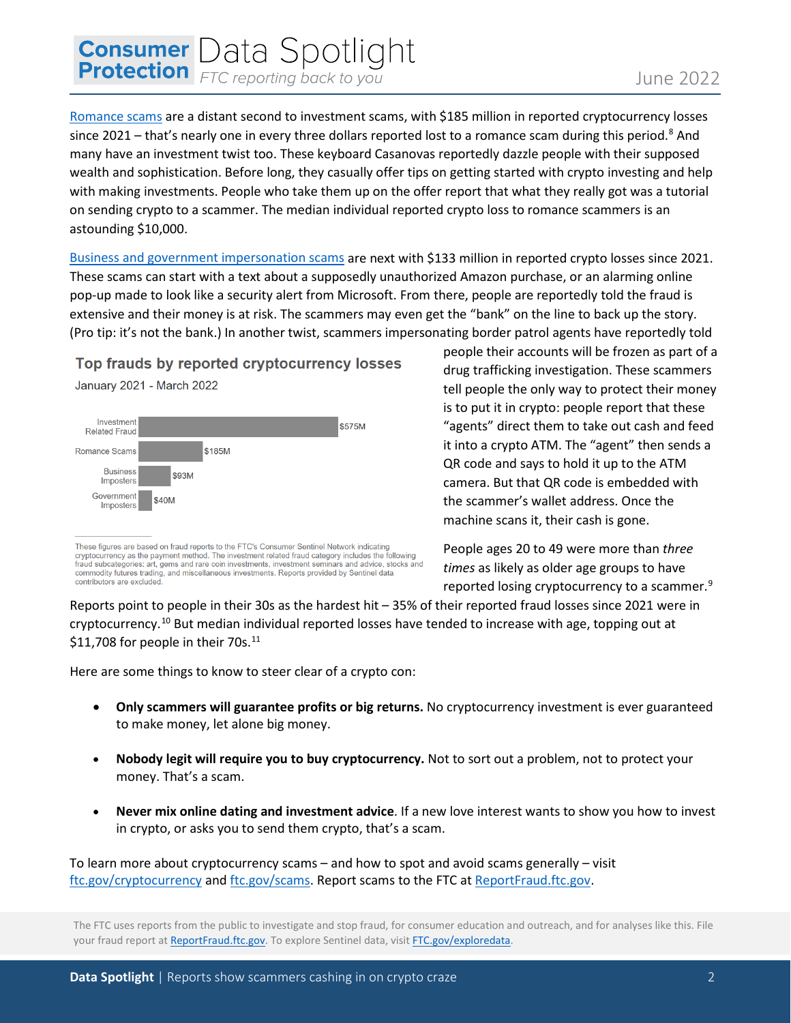## **Consumer** Data Spotlight

[Romance scams](https://consumer.ftc.gov/articles/what-you-need-know-about-romance-scams) are a distant second to investment scams, with \$185 million in reported cryptocurrency losses since 2021 – that's nearly one in every three dollars reported lost to a romance scam during this period.<sup>[8](#page-2-7)</sup> And many have an investment twist too. These keyboard Casanovas reportedly dazzle people with their supposed wealth and sophistication. Before long, they casually offer tips on getting started with crypto investing and help with making investments. People who take them up on the offer report that what they really got was a tutorial on sending crypto to a scammer. The median individual reported crypto loss to romance scammers is an astounding \$10,000.

[Business and government impersonation scams](https://consumer.ftc.gov/features/imposter-scams) are next with \$133 million in reported crypto losses since 2021. These scams can start with a text about a supposedly unauthorized Amazon purchase, or an alarming online pop-up made to look like a security alert from Microsoft. From there, people are reportedly told the fraud is extensive and their money is at risk. The scammers may even get the "bank" on the line to back up the story. (Pro tip: it's not the bank.) In another twist, scammers impersonating border patrol agents have reportedly told

Top frauds by reported cryptocurrency losses January 2021 - March 2022



These figures are based on fraud reports to the FTC's Consumer Sentinel Network indicating cryptocurrency as the payment method. The investment related fraud category includes the following fraud subcategories: art, gems and rare coin investments, investment seminars and advice, stocks and commodity futures trading, and miscellaneous investments. Reports provided by Sentinel data contributors are excluded

people their accounts will be frozen as part of a drug trafficking investigation. These scammers tell people the only way to protect their money is to put it in crypto: people report that these "agents" direct them to take out cash and feed it into a crypto ATM. The "agent" then sends a QR code and says to hold it up to the ATM camera. But that QR code is embedded with the scammer's wallet address. Once the machine scans it, their cash is gone.

People ages 20 to 49 were more than *three times* as likely as older age groups to have reported losing cryptocurrency to a scammer.<sup>[9](#page-2-8)</sup>

Reports point to people in their 30s as the hardest hit – 35% of their reported fraud losses since 2021 were in cryptocurrency.[10](#page-2-9) But median individual reported losses have tended to increase with age, topping out at \$[11](#page-2-10),708 for people in their 70s. $^{11}$ 

Here are some things to know to steer clear of a crypto con:

- **Only scammers will guarantee profits or big returns.** No cryptocurrency investment is ever guaranteed to make money, let alone big money.
- **Nobody legit will require you to buy cryptocurrency.** Not to sort out a problem, not to protect your money. That's a scam.
- **Never mix online dating and investment advice**. If a new love interest wants to show you how to invest in crypto, or asks you to send them crypto, that's a scam.

To learn more about cryptocurrency scams – and how to spot and avoid scams generally – visit [ftc.gov/cryptocurrency](https://consumer.ftc.gov/articles/what-know-about-cryptocurrency-scams) and [ftc.gov/scams.](https://consumer.ftc.gov/scams) Report scams to the FTC at [ReportFraud.ftc.gov.](http://www.reportfraud.ftc.gov/)

The FTC uses reports from the public to investigate and stop fraud, for consumer education and outreach, and for analyses like this. File your fraud report at [ReportFraud.ftc.gov.](http://www.reportfraud.ftc.gov/) To explore Sentinel data, visi[t FTC.gov/exploredata.](http://www.ftc.gov/exploredata)